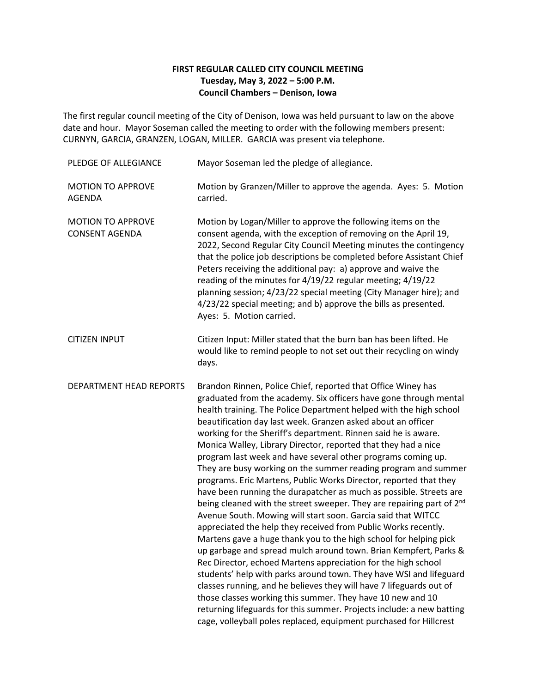## **FIRST REGULAR CALLED CITY COUNCIL MEETING Tuesday, May 3, 2022 – 5:00 P.M. Council Chambers – Denison, Iowa**

The first regular council meeting of the City of Denison, Iowa was held pursuant to law on the above date and hour. Mayor Soseman called the meeting to order with the following members present: CURNYN, GARCIA, GRANZEN, LOGAN, MILLER. GARCIA was present via telephone.

| PLEDGE OF ALLEGIANCE                              | Mayor Soseman led the pledge of allegiance.                                                                                                                                                                                                                                                                                                                                                                                                                                                                                                                                                                                                                                                                                                                                                                                                                                                                                                                                                                                                                                                                                                                                                                                                                                                                                                                                                                                                                                         |
|---------------------------------------------------|-------------------------------------------------------------------------------------------------------------------------------------------------------------------------------------------------------------------------------------------------------------------------------------------------------------------------------------------------------------------------------------------------------------------------------------------------------------------------------------------------------------------------------------------------------------------------------------------------------------------------------------------------------------------------------------------------------------------------------------------------------------------------------------------------------------------------------------------------------------------------------------------------------------------------------------------------------------------------------------------------------------------------------------------------------------------------------------------------------------------------------------------------------------------------------------------------------------------------------------------------------------------------------------------------------------------------------------------------------------------------------------------------------------------------------------------------------------------------------------|
| <b>MOTION TO APPROVE</b><br><b>AGENDA</b>         | Motion by Granzen/Miller to approve the agenda. Ayes: 5. Motion<br>carried.                                                                                                                                                                                                                                                                                                                                                                                                                                                                                                                                                                                                                                                                                                                                                                                                                                                                                                                                                                                                                                                                                                                                                                                                                                                                                                                                                                                                         |
| <b>MOTION TO APPROVE</b><br><b>CONSENT AGENDA</b> | Motion by Logan/Miller to approve the following items on the<br>consent agenda, with the exception of removing on the April 19,<br>2022, Second Regular City Council Meeting minutes the contingency<br>that the police job descriptions be completed before Assistant Chief<br>Peters receiving the additional pay: a) approve and waive the<br>reading of the minutes for 4/19/22 regular meeting; 4/19/22<br>planning session; 4/23/22 special meeting (City Manager hire); and<br>4/23/22 special meeting; and b) approve the bills as presented.<br>Ayes: 5. Motion carried.                                                                                                                                                                                                                                                                                                                                                                                                                                                                                                                                                                                                                                                                                                                                                                                                                                                                                                   |
| <b>CITIZEN INPUT</b>                              | Citizen Input: Miller stated that the burn ban has been lifted. He<br>would like to remind people to not set out their recycling on windy<br>days.                                                                                                                                                                                                                                                                                                                                                                                                                                                                                                                                                                                                                                                                                                                                                                                                                                                                                                                                                                                                                                                                                                                                                                                                                                                                                                                                  |
| DEPARTMENT HEAD REPORTS                           | Brandon Rinnen, Police Chief, reported that Office Winey has<br>graduated from the academy. Six officers have gone through mental<br>health training. The Police Department helped with the high school<br>beautification day last week. Granzen asked about an officer<br>working for the Sheriff's department. Rinnen said he is aware.<br>Monica Walley, Library Director, reported that they had a nice<br>program last week and have several other programs coming up.<br>They are busy working on the summer reading program and summer<br>programs. Eric Martens, Public Works Director, reported that they<br>have been running the durapatcher as much as possible. Streets are<br>being cleaned with the street sweeper. They are repairing part of 2 <sup>nd</sup><br>Avenue South. Mowing will start soon. Garcia said that WITCC<br>appreciated the help they received from Public Works recently.<br>Martens gave a huge thank you to the high school for helping pick<br>up garbage and spread mulch around town. Brian Kempfert, Parks &<br>Rec Director, echoed Martens appreciation for the high school<br>students' help with parks around town. They have WSI and lifeguard<br>classes running, and he believes they will have 7 lifeguards out of<br>those classes working this summer. They have 10 new and 10<br>returning lifeguards for this summer. Projects include: a new batting<br>cage, volleyball poles replaced, equipment purchased for Hillcrest |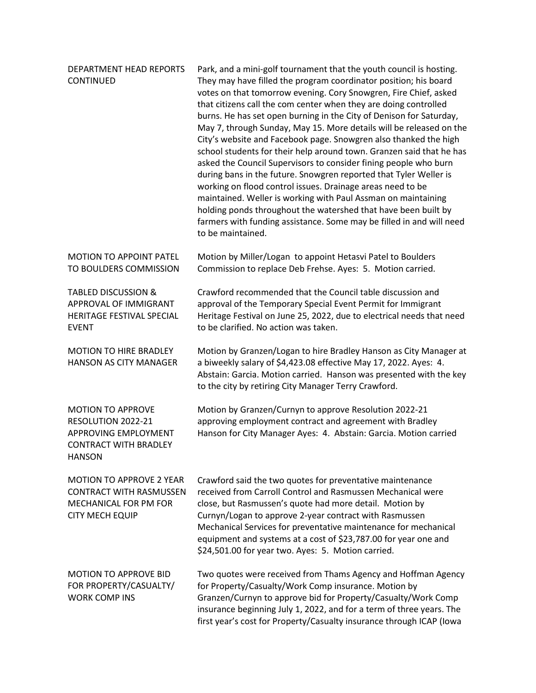| DEPARTMENT HEAD REPORTS<br>CONTINUED                                                                                 | Park, and a mini-golf tournament that the youth council is hosting.<br>They may have filled the program coordinator position; his board<br>votes on that tomorrow evening. Cory Snowgren, Fire Chief, asked<br>that citizens call the com center when they are doing controlled<br>burns. He has set open burning in the City of Denison for Saturday,<br>May 7, through Sunday, May 15. More details will be released on the<br>City's website and Facebook page. Snowgren also thanked the high<br>school students for their help around town. Granzen said that he has<br>asked the Council Supervisors to consider fining people who burn<br>during bans in the future. Snowgren reported that Tyler Weller is<br>working on flood control issues. Drainage areas need to be<br>maintained. Weller is working with Paul Assman on maintaining<br>holding ponds throughout the watershed that have been built by<br>farmers with funding assistance. Some may be filled in and will need<br>to be maintained. |
|----------------------------------------------------------------------------------------------------------------------|------------------------------------------------------------------------------------------------------------------------------------------------------------------------------------------------------------------------------------------------------------------------------------------------------------------------------------------------------------------------------------------------------------------------------------------------------------------------------------------------------------------------------------------------------------------------------------------------------------------------------------------------------------------------------------------------------------------------------------------------------------------------------------------------------------------------------------------------------------------------------------------------------------------------------------------------------------------------------------------------------------------|
| <b>MOTION TO APPOINT PATEL</b><br>TO BOULDERS COMMISSION                                                             | Motion by Miller/Logan to appoint Hetasvi Patel to Boulders<br>Commission to replace Deb Frehse. Ayes: 5. Motion carried.                                                                                                                                                                                                                                                                                                                                                                                                                                                                                                                                                                                                                                                                                                                                                                                                                                                                                        |
| <b>TABLED DISCUSSION &amp;</b><br>APPROVAL OF IMMIGRANT<br>HERITAGE FESTIVAL SPECIAL<br><b>EVENT</b>                 | Crawford recommended that the Council table discussion and<br>approval of the Temporary Special Event Permit for Immigrant<br>Heritage Festival on June 25, 2022, due to electrical needs that need<br>to be clarified. No action was taken.                                                                                                                                                                                                                                                                                                                                                                                                                                                                                                                                                                                                                                                                                                                                                                     |
| <b>MOTION TO HIRE BRADLEY</b><br>HANSON AS CITY MANAGER                                                              | Motion by Granzen/Logan to hire Bradley Hanson as City Manager at<br>a biweekly salary of \$4,423.08 effective May 17, 2022. Ayes: 4.<br>Abstain: Garcia. Motion carried. Hanson was presented with the key<br>to the city by retiring City Manager Terry Crawford.                                                                                                                                                                                                                                                                                                                                                                                                                                                                                                                                                                                                                                                                                                                                              |
| <b>MOTION TO APPROVE</b><br>RESOLUTION 2022-21<br>APPROVING EMPLOYMENT<br><b>CONTRACT WITH BRADLEY</b><br>HANSON     | Motion by Granzen/Curnyn to approve Resolution 2022-21<br>approving employment contract and agreement with Bradley<br>Hanson for City Manager Ayes: 4. Abstain: Garcia. Motion carried                                                                                                                                                                                                                                                                                                                                                                                                                                                                                                                                                                                                                                                                                                                                                                                                                           |
| <b>MOTION TO APPROVE 2 YEAR</b><br><b>CONTRACT WITH RASMUSSEN</b><br>MECHANICAL FOR PM FOR<br><b>CITY MECH EQUIP</b> | Crawford said the two quotes for preventative maintenance<br>received from Carroll Control and Rasmussen Mechanical were<br>close, but Rasmussen's quote had more detail. Motion by<br>Curnyn/Logan to approve 2-year contract with Rasmussen<br>Mechanical Services for preventative maintenance for mechanical<br>equipment and systems at a cost of \$23,787.00 for year one and<br>\$24,501.00 for year two. Ayes: 5. Motion carried.                                                                                                                                                                                                                                                                                                                                                                                                                                                                                                                                                                        |
| <b>MOTION TO APPROVE BID</b><br>FOR PROPERTY/CASUALTY/<br><b>WORK COMP INS</b>                                       | Two quotes were received from Thams Agency and Hoffman Agency<br>for Property/Casualty/Work Comp insurance. Motion by<br>Granzen/Curnyn to approve bid for Property/Casualty/Work Comp<br>insurance beginning July 1, 2022, and for a term of three years. The<br>first year's cost for Property/Casualty insurance through ICAP (Iowa                                                                                                                                                                                                                                                                                                                                                                                                                                                                                                                                                                                                                                                                           |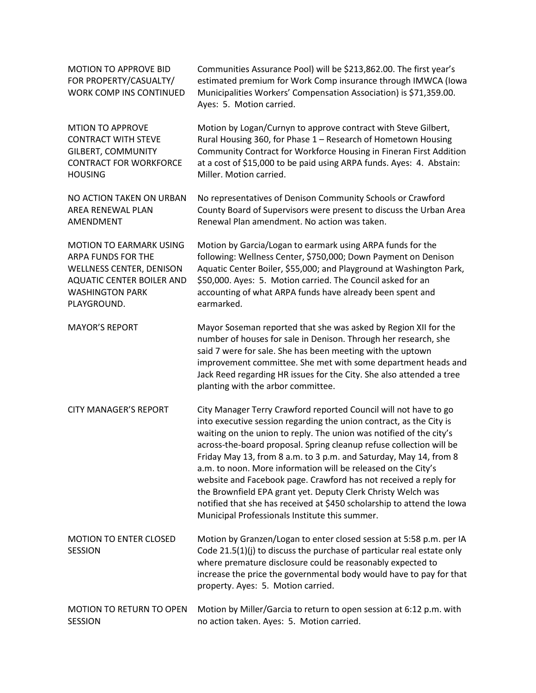| <b>MOTION TO APPROVE BID</b><br>FOR PROPERTY/CASUALTY/<br>WORK COMP INS CONTINUED | Communities Assurance Pool) will be \$213,862.00. The first year's<br>estimated premium for Work Comp insurance through IMWCA (lowa<br>Municipalities Workers' Compensation Association) is \$71,359.00.<br>Ayes: 5. Motion carried.                                                                                                                                                                                                                                                                                                                                                                                                                                                        |
|-----------------------------------------------------------------------------------|---------------------------------------------------------------------------------------------------------------------------------------------------------------------------------------------------------------------------------------------------------------------------------------------------------------------------------------------------------------------------------------------------------------------------------------------------------------------------------------------------------------------------------------------------------------------------------------------------------------------------------------------------------------------------------------------|
| <b>MTION TO APPROVE</b>                                                           | Motion by Logan/Curnyn to approve contract with Steve Gilbert,                                                                                                                                                                                                                                                                                                                                                                                                                                                                                                                                                                                                                              |
| <b>CONTRACT WITH STEVE</b>                                                        | Rural Housing 360, for Phase 1 - Research of Hometown Housing                                                                                                                                                                                                                                                                                                                                                                                                                                                                                                                                                                                                                               |
| <b>GILBERT, COMMUNITY</b>                                                         | Community Contract for Workforce Housing in Fineran First Addition                                                                                                                                                                                                                                                                                                                                                                                                                                                                                                                                                                                                                          |
| <b>CONTRACT FOR WORKFORCE</b>                                                     | at a cost of \$15,000 to be paid using ARPA funds. Ayes: 4. Abstain:                                                                                                                                                                                                                                                                                                                                                                                                                                                                                                                                                                                                                        |
| <b>HOUSING</b>                                                                    | Miller. Motion carried.                                                                                                                                                                                                                                                                                                                                                                                                                                                                                                                                                                                                                                                                     |
| NO ACTION TAKEN ON URBAN                                                          | No representatives of Denison Community Schools or Crawford                                                                                                                                                                                                                                                                                                                                                                                                                                                                                                                                                                                                                                 |
| AREA RENEWAL PLAN                                                                 | County Board of Supervisors were present to discuss the Urban Area                                                                                                                                                                                                                                                                                                                                                                                                                                                                                                                                                                                                                          |
| AMENDMENT                                                                         | Renewal Plan amendment. No action was taken.                                                                                                                                                                                                                                                                                                                                                                                                                                                                                                                                                                                                                                                |
| <b>MOTION TO EARMARK USING</b>                                                    | Motion by Garcia/Logan to earmark using ARPA funds for the                                                                                                                                                                                                                                                                                                                                                                                                                                                                                                                                                                                                                                  |
| ARPA FUNDS FOR THE                                                                | following: Wellness Center, \$750,000; Down Payment on Denison                                                                                                                                                                                                                                                                                                                                                                                                                                                                                                                                                                                                                              |
| WELLNESS CENTER, DENISON                                                          | Aquatic Center Boiler, \$55,000; and Playground at Washington Park,                                                                                                                                                                                                                                                                                                                                                                                                                                                                                                                                                                                                                         |
| AQUATIC CENTER BOILER AND                                                         | \$50,000. Ayes: 5. Motion carried. The Council asked for an                                                                                                                                                                                                                                                                                                                                                                                                                                                                                                                                                                                                                                 |
| <b>WASHINGTON PARK</b>                                                            | accounting of what ARPA funds have already been spent and                                                                                                                                                                                                                                                                                                                                                                                                                                                                                                                                                                                                                                   |
| PLAYGROUND.                                                                       | earmarked.                                                                                                                                                                                                                                                                                                                                                                                                                                                                                                                                                                                                                                                                                  |
| <b>MAYOR'S REPORT</b>                                                             | Mayor Soseman reported that she was asked by Region XII for the<br>number of houses for sale in Denison. Through her research, she<br>said 7 were for sale. She has been meeting with the uptown<br>improvement committee. She met with some department heads and<br>Jack Reed regarding HR issues for the City. She also attended a tree<br>planting with the arbor committee.                                                                                                                                                                                                                                                                                                             |
| <b>CITY MANAGER'S REPORT</b>                                                      | City Manager Terry Crawford reported Council will not have to go<br>into executive session regarding the union contract, as the City is<br>waiting on the union to reply. The union was notified of the city's<br>across-the-board proposal. Spring cleanup refuse collection will be<br>Friday May 13, from 8 a.m. to 3 p.m. and Saturday, May 14, from 8<br>a.m. to noon. More information will be released on the City's<br>website and Facebook page. Crawford has not received a reply for<br>the Brownfield EPA grant yet. Deputy Clerk Christy Welch was<br>notified that she has received at \$450 scholarship to attend the lowa<br>Municipal Professionals Institute this summer. |
| <b>MOTION TO ENTER CLOSED</b><br><b>SESSION</b>                                   | Motion by Granzen/Logan to enter closed session at 5:58 p.m. per IA<br>Code 21.5(1)(j) to discuss the purchase of particular real estate only<br>where premature disclosure could be reasonably expected to<br>increase the price the governmental body would have to pay for that<br>property. Ayes: 5. Motion carried.                                                                                                                                                                                                                                                                                                                                                                    |
| <b>MOTION TO RETURN TO OPEN</b>                                                   | Motion by Miller/Garcia to return to open session at 6:12 p.m. with                                                                                                                                                                                                                                                                                                                                                                                                                                                                                                                                                                                                                         |
| <b>SESSION</b>                                                                    | no action taken. Ayes: 5. Motion carried.                                                                                                                                                                                                                                                                                                                                                                                                                                                                                                                                                                                                                                                   |